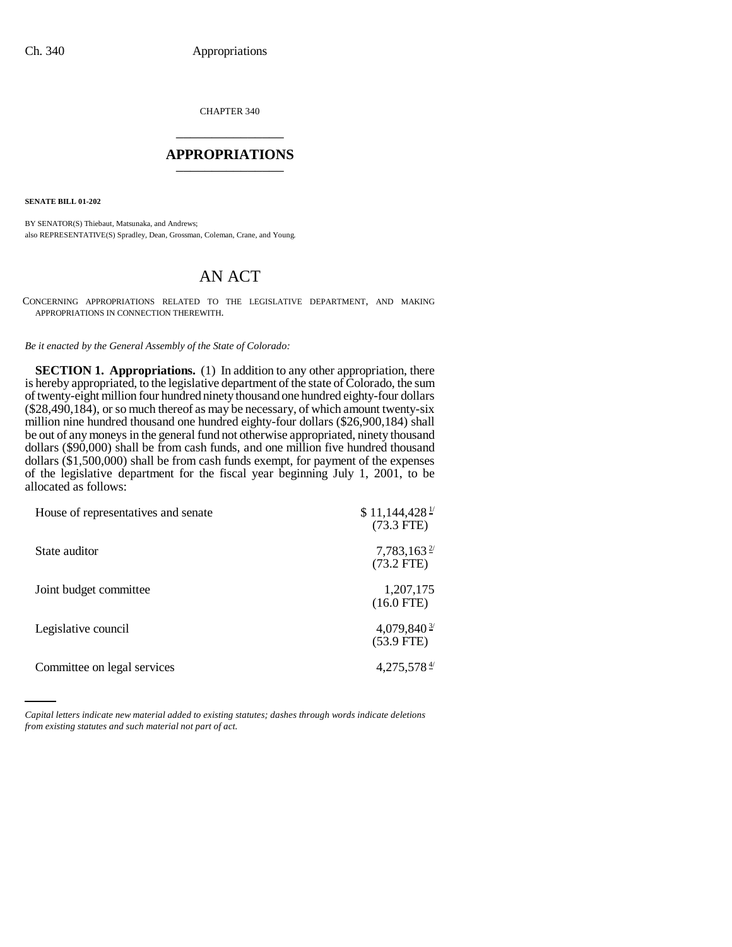CHAPTER 340 \_\_\_\_\_\_\_\_\_\_\_\_\_\_\_

## **APPROPRIATIONS** \_\_\_\_\_\_\_\_\_\_\_\_\_\_\_

**SENATE BILL 01-202**

BY SENATOR(S) Thiebaut, Matsunaka, and Andrews; also REPRESENTATIVE(S) Spradley, Dean, Grossman, Coleman, Crane, and Young.

# AN ACT

CONCERNING APPROPRIATIONS RELATED TO THE LEGISLATIVE DEPARTMENT, AND MAKING APPROPRIATIONS IN CONNECTION THEREWITH.

### *Be it enacted by the General Assembly of the State of Colorado:*

**SECTION 1. Appropriations.** (1) In addition to any other appropriation, there is hereby appropriated, to the legislative department of the state of Colorado, the sum of twenty-eight million four hundred ninety thousand one hundred eighty-four dollars  $(\$28,490,184)$ , or so much thereof as may be necessary, of which amount twenty-six million nine hundred thousand one hundred eighty-four dollars (\$26,900,184) shall be out of any moneys in the general fund not otherwise appropriated, ninety thousand dollars (\$90,000) shall be from cash funds, and one million five hundred thousand dollars (\$1,500,000) shall be from cash funds exempt, for payment of the expenses of the legislative department for the fiscal year beginning July 1, 2001, to be allocated as follows:

| House of representatives and senate | $$11,144,428$ <sup>1/</sup><br>$(73.3$ FTE) |
|-------------------------------------|---------------------------------------------|
| State auditor                       | $7,783,163^{\frac{2}{5}}$<br>$(73.2$ FTE)   |
| Joint budget committee              | 1,207,175<br>$(16.0$ FTE)                   |
| Legislative council                 | $4,079,840\frac{3}{2}$<br>$(53.9$ FTE)      |
| Committee on legal services         | $4,275,578$ <sup><math>4</math></sup>       |

*Capital letters indicate new material added to existing statutes; dashes through words indicate deletions from existing statutes and such material not part of act.*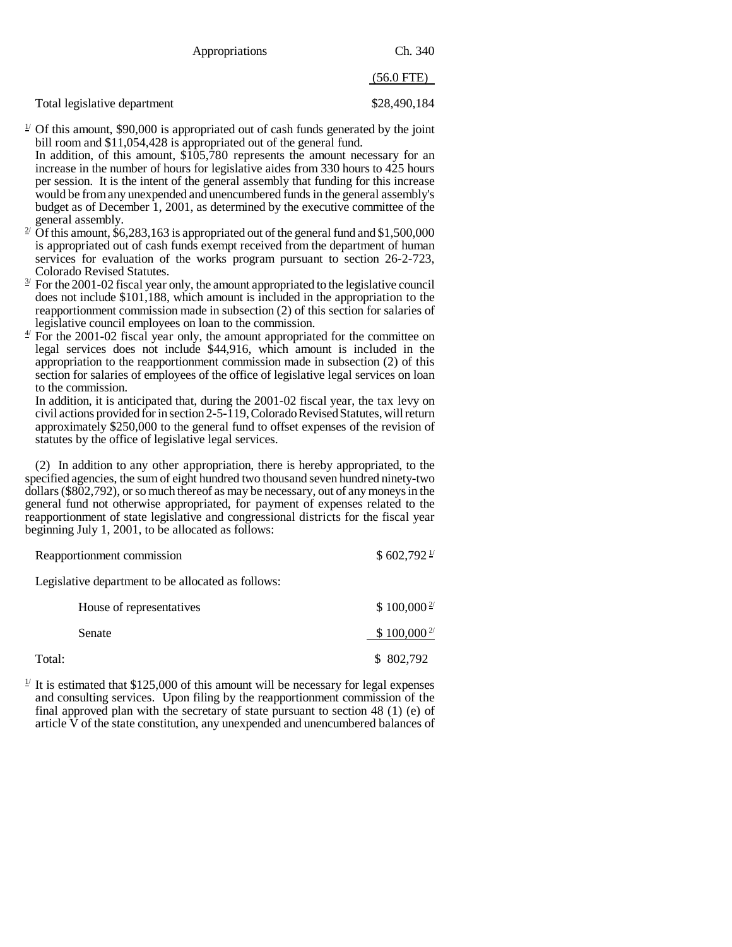| Appropriations               | Ch. 340      |
|------------------------------|--------------|
|                              | $(56.0$ FTE) |
| Total legislative department | \$28,490,184 |

- $\frac{1}{2}$  Of this amount, \$90,000 is appropriated out of cash funds generated by the joint bill room and \$11,054,428 is appropriated out of the general fund.
- In addition, of this amount, \$105,780 represents the amount necessary for an increase in the number of hours for legislative aides from 330 hours to 425 hours per session. It is the intent of the general assembly that funding for this increase would be from any unexpended and unencumbered funds in the general assembly's budget as of December 1, 2001, as determined by the executive committee of the general assembly.<br><sup>2/</sup> Of this amount, \$6,283,163 is appropriated out of the general fund and \$1,500,000
- is appropriated out of cash funds exempt received from the department of human services for evaluation of the works program pursuant to section 26-2-723, Colorado Revised Statutes.
- $\frac{3}{2}$  For the 2001-02 fiscal year only, the amount appropriated to the legislative council does not include \$101,188, which amount is included in the appropriation to the reapportionment commission made in subsection (2) of this section for salaries of legislative council employees on loan to the commission.
- $\frac{4}{3}$  For the 2001-02 fiscal year only, the amount appropriated for the committee on legal services does not include \$44,916, which amount is included in the appropriation to the reapportionment commission made in subsection (2) of this section for salaries of employees of the office of legislative legal services on loan to the commission.

In addition, it is anticipated that, during the 2001-02 fiscal year, the tax levy on civil actions provided for in section 2-5-119, Colorado Revised Statutes, will return approximately \$250,000 to the general fund to offset expenses of the revision of statutes by the office of legislative legal services.

(2) In addition to any other appropriation, there is hereby appropriated, to the specified agencies, the sum of eight hundred two thousand seven hundred ninety-two dollars (\$802,792), or so much thereof as may be necessary, out of any moneys in the general fund not otherwise appropriated, for payment of expenses related to the reapportionment of state legislative and congressional districts for the fiscal year beginning July 1, 2001, to be allocated as follows:

| Reapportionment commission                         | $$602,792$ <sup>1/</sup> |
|----------------------------------------------------|--------------------------|
| Legislative department to be allocated as follows: |                          |

|        | House of representatives | $$100,000^2$    |
|--------|--------------------------|-----------------|
|        | Senate                   | $$100,000^{27}$ |
| Total: |                          | \$ 802,792      |

 $\frac{1}{2}$  It is estimated that \$125,000 of this amount will be necessary for legal expenses and consulting services. Upon filing by the reapportionment commission of the final approved plan with the secretary of state pursuant to section 48 (1) (e) of article  $\bar{V}$  of the state constitution, any unexpended and unencumbered balances of